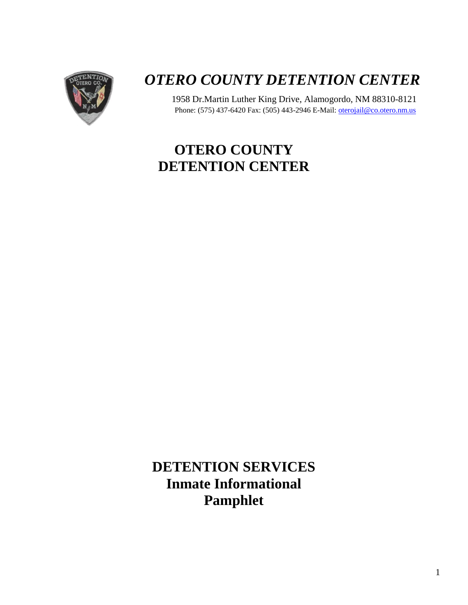

# *OTERO COUNTY DETENTION CENTER*

1958 Dr.Martin Luther King Drive, Alamogordo, NM 88310-8121 Phone: (575) 437-6420 Fax: (505) 443-2946 E-Mail[: oterojail@co.otero.nm.us](mailto:oterojail@co.otero.nm.us)

## **OTERO COUNTY DETENTION CENTER**

**DETENTION SERVICES Inmate Informational Pamphlet**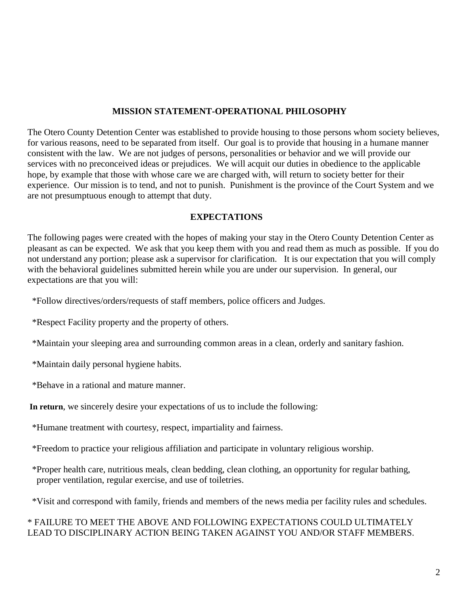#### **MISSION STATEMENT-OPERATIONAL PHILOSOPHY**

The Otero County Detention Center was established to provide housing to those persons whom society believes, for various reasons, need to be separated from itself. Our goal is to provide that housing in a humane manner consistent with the law. We are not judges of persons, personalities or behavior and we will provide our services with no preconceived ideas or prejudices. We will acquit our duties in obedience to the applicable hope, by example that those with whose care we are charged with, will return to society better for their experience. Our mission is to tend, and not to punish. Punishment is the province of the Court System and we are not presumptuous enough to attempt that duty.

#### **EXPECTATIONS**

The following pages were created with the hopes of making your stay in the Otero County Detention Center as pleasant as can be expected. We ask that you keep them with you and read them as much as possible. If you do not understand any portion; please ask a supervisor for clarification. It is our expectation that you will comply with the behavioral guidelines submitted herein while you are under our supervision. In general, our expectations are that you will:

\*Follow directives/orders/requests of staff members, police officers and Judges.

\*Respect Facility property and the property of others.

\*Maintain your sleeping area and surrounding common areas in a clean, orderly and sanitary fashion.

\*Maintain daily personal hygiene habits.

\*Behave in a rational and mature manner.

**In return**, we sincerely desire your expectations of us to include the following:

\*Humane treatment with courtesy, respect, impartiality and fairness.

\*Freedom to practice your religious affiliation and participate in voluntary religious worship.

 \*Proper health care, nutritious meals, clean bedding, clean clothing, an opportunity for regular bathing, proper ventilation, regular exercise, and use of toiletries.

\*Visit and correspond with family, friends and members of the news media per facility rules and schedules.

## \* FAILURE TO MEET THE ABOVE AND FOLLOWING EXPECTATIONS COULD ULTIMATELY LEAD TO DISCIPLINARY ACTION BEING TAKEN AGAINST YOU AND/OR STAFF MEMBERS.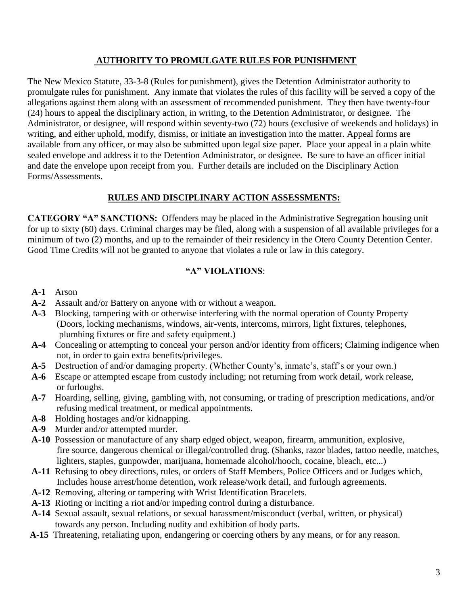## **AUTHORITY TO PROMULGATE RULES FOR PUNISHMENT**

The New Mexico Statute, 33-3-8 (Rules for punishment), gives the Detention Administrator authority to promulgate rules for punishment. Any inmate that violates the rules of this facility will be served a copy of the allegations against them along with an assessment of recommended punishment. They then have twenty-four (24) hours to appeal the disciplinary action, in writing, to the Detention Administrator, or designee. The Administrator, or designee, will respond within seventy-two (72) hours (exclusive of weekends and holidays) in writing, and either uphold, modify, dismiss, or initiate an investigation into the matter. Appeal forms are available from any officer, or may also be submitted upon legal size paper. Place your appeal in a plain white sealed envelope and address it to the Detention Administrator, or designee. Be sure to have an officer initial and date the envelope upon receipt from you. Further details are included on the Disciplinary Action Forms/Assessments.

## **RULES AND DISCIPLINARY ACTION ASSESSMENTS:**

**CATEGORY "A" SANCTIONS:** Offenders may be placed in the Administrative Segregation housing unit for up to sixty (60) days. Criminal charges may be filed, along with a suspension of all available privileges for a minimum of two (2) months, and up to the remainder of their residency in the Otero County Detention Center. Good Time Credits will not be granted to anyone that violates a rule or law in this category.

## **"A" VIOLATIONS**:

- **A-1** Arson
- **A-2** Assault and/or Battery on anyone with or without a weapon.
- **A-3** Blocking, tampering with or otherwise interfering with the normal operation of County Property (Doors, locking mechanisms, windows, air-vents, intercoms, mirrors, light fixtures, telephones, plumbing fixtures or fire and safety equipment.)
- **A-4** Concealing or attempting to conceal your person and/or identity from officers; Claiming indigence when not, in order to gain extra benefits/privileges.
- **A-5** Destruction of and/or damaging property. (Whether County's, inmate's, staff's or your own.)
- **A-6** Escape or attempted escape from custody including; not returning from work detail, work release, or furloughs.
- **A-7** Hoarding, selling, giving, gambling with, not consuming, or trading of prescription medications, and/or refusing medical treatment, or medical appointments.
- **A-8** Holding hostages and/or kidnapping.
- **A-9** Murder and/or attempted murder.
- **A-10** Possession or manufacture of any sharp edged object, weapon, firearm, ammunition, explosive, fire source, dangerous chemical or illegal/controlled drug. (Shanks, razor blades, tattoo needle, matches, lighters, staples, gunpowder, marijuana, homemade alcohol/hooch, cocaine, bleach, etc...)
- **A-11** Refusing to obey directions, rules, or orders of Staff Members, Police Officers and or Judges which, Includes house arrest/home detention**,** work release/work detail, and furlough agreements.
- **A-12** Removing, altering or tampering with Wrist Identification Bracelets.
- **A-13** Rioting or inciting a riot and/or impeding control during a disturbance.
- **A-14** Sexual assault, sexual relations, or sexual harassment/misconduct (verbal, written, or physical) towards any person. Including nudity and exhibition of body parts.
- **A-15** Threatening, retaliating upon, endangering or coercing others by any means, or for any reason.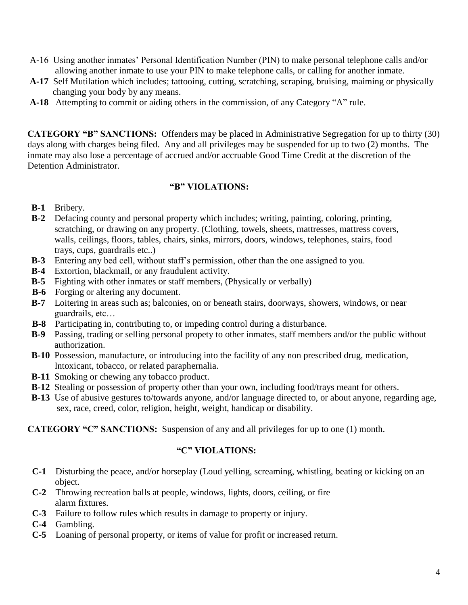- A-16 Using another inmates' Personal Identification Number (PIN) to make personal telephone calls and/or allowing another inmate to use your PIN to make telephone calls, or calling for another inmate.
- **A-17** Self Mutilation which includes; tattooing, cutting, scratching, scraping, bruising, maiming or physically changing your body by any means.
- **A-18** Attempting to commit or aiding others in the commission, of any Category "A" rule.

**CATEGORY "B" SANCTIONS:** Offenders may be placed in Administrative Segregation for up to thirty (30) days along with charges being filed. Any and all privileges may be suspended for up to two (2) months. The inmate may also lose a percentage of accrued and/or accruable Good Time Credit at the discretion of the Detention Administrator.

## **"B" VIOLATIONS:**

- **B-1** Bribery.
- **B-2** Defacing county and personal property which includes; writing, painting, coloring, printing, scratching, or drawing on any property. (Clothing, towels, sheets, mattresses, mattress covers, walls, ceilings, floors, tables, chairs, sinks, mirrors, doors, windows, telephones, stairs, food trays, cups, guardrails etc..)
- **B-3** Entering any bed cell, without staff's permission, other than the one assigned to you.
- **B-4** Extortion, blackmail, or any fraudulent activity.
- **B-5** Fighting with other inmates or staff members, (Physically or verbally)
- **B-6** Forging or altering any document.
- **B-7** Loitering in areas such as; balconies, on or beneath stairs, doorways, showers, windows, or near guardrails, etc…
- **B-8** Participating in, contributing to, or impeding control during a disturbance.
- **B-9** Passing, trading or selling personal propety to other inmates, staff members and/or the public without authorization.
- **B-10** Possession, manufacture, or introducing into the facility of any non prescribed drug, medication, Intoxicant, tobacco, or related paraphernalia.
- **B-11** Smoking or chewing any tobacco product.
- **B-12** Stealing or possession of property other than your own, including food/trays meant for others.
- **B-13** Use of abusive gestures to/towards anyone, and/or language directed to, or about anyone, regarding age, sex, race, creed, color, religion, height, weight, handicap or disability.

**CATEGORY "C" SANCTIONS:** Suspension of any and all privileges for up to one (1) month.

## **"C" VIOLATIONS:**

- **C-1** Disturbing the peace, and/or horseplay (Loud yelling, screaming, whistling, beating or kicking on an object.
- **C-2** Throwing recreation balls at people, windows, lights, doors, ceiling, or fire alarm fixtures.
- **C-3** Failure to follow rules which results in damage to property or injury.
- **C-4** Gambling.
- **C-5** Loaning of personal property, or items of value for profit or increased return.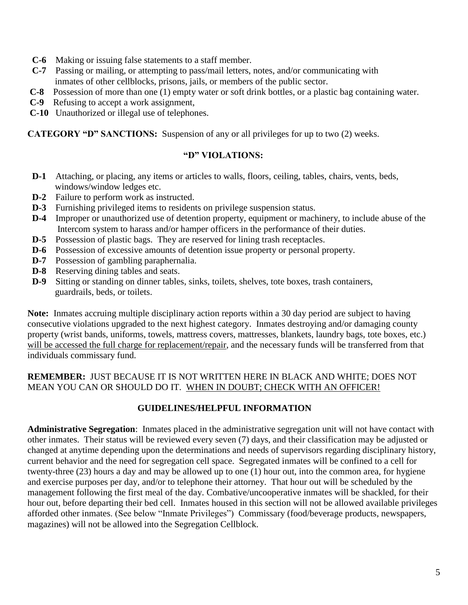- **C-6** Making or issuing false statements to a staff member.
- **C-7** Passing or mailing, or attempting to pass/mail letters, notes, and/or communicating with inmates of other cellblocks, prisons, jails, or members of the public sector.
- **C-8** Possession of more than one (1) empty water or soft drink bottles, or a plastic bag containing water.
- **C-9** Refusing to accept a work assignment,
- **C-10** Unauthorized or illegal use of telephones.

**CATEGORY "D" SANCTIONS:** Suspension of any or all privileges for up to two (2) weeks.

## **"D" VIOLATIONS:**

- **D-1** Attaching, or placing, any items or articles to walls, floors, ceiling, tables, chairs, vents, beds, windows/window ledges etc.
- **D-2** Failure to perform work as instructed.
- **D-3** Furnishing privileged items to residents on privilege suspension status.
- **D-4** Improper or unauthorized use of detention property, equipment or machinery, to include abuse of the Intercom system to harass and/or hamper officers in the performance of their duties.
- **D-5** Possession of plastic bags. They are reserved for lining trash receptacles.
- **D-6** Possession of excessive amounts of detention issue property or personal property.
- **D-7** Possession of gambling paraphernalia.
- **D-8** Reserving dining tables and seats.
- **D-9** Sitting or standing on dinner tables, sinks, toilets, shelves, tote boxes, trash containers, guardrails, beds, or toilets.

**Note:** Inmates accruing multiple disciplinary action reports within a 30 day period are subject to having consecutive violations upgraded to the next highest category. Inmates destroying and/or damaging county property (wrist bands, uniforms, towels, mattress covers, mattresses, blankets, laundry bags, tote boxes, etc.) will be accessed the full charge for replacement/repair, and the necessary funds will be transferred from that individuals commissary fund.

## **REMEMBER:** JUST BECAUSE IT IS NOT WRITTEN HERE IN BLACK AND WHITE; DOES NOT MEAN YOU CAN OR SHOULD DO IT. WHEN IN DOUBT; CHECK WITH AN OFFICER!

## **GUIDELINES/HELPFUL INFORMATION**

**Administrative Segregation**: Inmates placed in the administrative segregation unit will not have contact with other inmates. Their status will be reviewed every seven (7) days, and their classification may be adjusted or changed at anytime depending upon the determinations and needs of supervisors regarding disciplinary history, current behavior and the need for segregation cell space. Segregated inmates will be confined to a cell for twenty-three (23) hours a day and may be allowed up to one (1) hour out, into the common area, for hygiene and exercise purposes per day, and/or to telephone their attorney. That hour out will be scheduled by the management following the first meal of the day. Combative/uncooperative inmates will be shackled, for their hour out, before departing their bed cell. Inmates housed in this section will not be allowed available privileges afforded other inmates. (See below "Inmate Privileges") Commissary (food/beverage products, newspapers, magazines) will not be allowed into the Segregation Cellblock.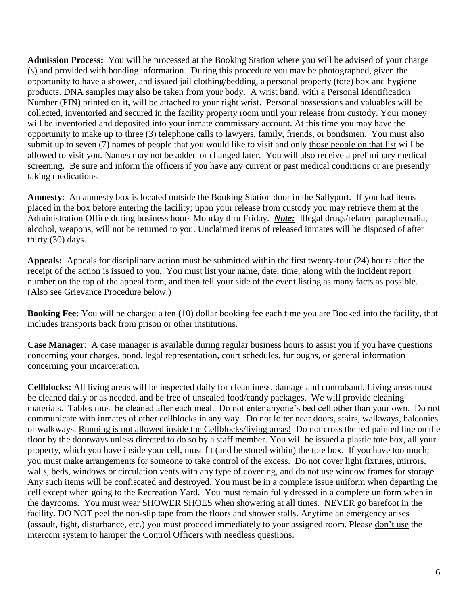**Admission Process:** You will be processed at the Booking Station where you will be advised of your charge (s) and provided with bonding information. During this procedure you may be photographed, given the opportunity to have a shower, and issued jail clothing/bedding, a personal property (tote) box and hygiene products. DNA samples may also be taken from your body. A wrist band, with a Personal Identification Number (PIN) printed on it, will be attached to your right wrist. Personal possessions and valuables will be collected, inventoried and secured in the facility property room until your release from custody. Your money will be inventoried and deposited into your inmate commissary account. At this time you may have the opportunity to make up to three (3) telephone calls to lawyers, family, friends, or bondsmen. You must also submit up to seven (7) names of people that you would like to visit and only those people on that list will be allowed to visit you. Names may not be added or changed later. You will also receive a preliminary medical screening. Be sure and inform the officers if you have any current or past medical conditions or are presently taking medications.

**Amnesty**: An amnesty box is located outside the Booking Station door in the Sallyport. If you had items placed in the box before entering the facility; upon your release from custody you may retrieve them at the Administration Office during business hours Monday thru Friday. *Note:* Illegal drugs/related paraphernalia, alcohol, weapons, will not be returned to you. Unclaimed items of released inmates will be disposed of after thirty (30) days.

**Appeals:** Appeals for disciplinary action must be submitted within the first twenty-four (24) hours after the receipt of the action is issued to you. You must list your name, date, time, along with the incident report number on the top of the appeal form, and then tell your side of the event listing as many facts as possible. (Also see Grievance Procedure below.)

**Booking Fee:** You will be charged a ten (10) dollar booking fee each time you are Booked into the facility, that includes transports back from prison or other institutions.

**Case Manager**: A case manager is available during regular business hours to assist you if you have questions concerning your charges, bond, legal representation, court schedules, furloughs, or general information concerning your incarceration.

**Cellblocks:** All living areas will be inspected daily for cleanliness, damage and contraband. Living areas must be cleaned daily or as needed, and be free of unsealed food/candy packages. We will provide cleaning materials. Tables must be cleaned after each meal. Do not enter anyone's bed cell other than your own. Do not communicate with inmates of other cellblocks in any way. Do not loiter near doors, stairs, walkways, balconies or walkways. Running is not allowed inside the Cellblocks/living areas! Do not cross the red painted line on the floor by the doorways unless directed to do so by a staff member. You will be issued a plastic tote box, all your property, which you have inside your cell, must fit (and be stored within) the tote box. If you have too much; you must make arrangements for someone to take control of the excess. Do not cover light fixtures, mirrors, walls, beds, windows or circulation vents with any type of covering, and do not use window frames for storage. Any such items will be confiscated and destroyed. You must be in a complete issue uniform when departing the cell except when going to the Recreation Yard. You must remain fully dressed in a complete uniform when in the dayrooms. You must wear SHOWER SHOES when showering at all times. NEVER go barefoot in the facility. DO NOT peel the non-slip tape from the floors and shower stalls. Anytime an emergency arises (assault, fight, disturbance, etc.) you must proceed immediately to your assigned room. Please don't use the intercom system to hamper the Control Officers with needless questions.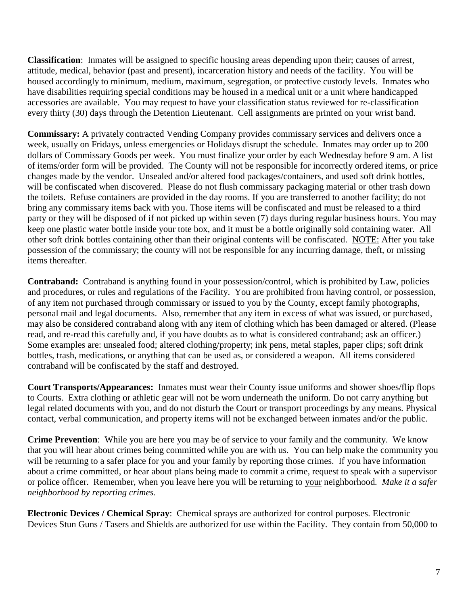**Classification**: Inmates will be assigned to specific housing areas depending upon their; causes of arrest, attitude, medical, behavior (past and present), incarceration history and needs of the facility. You will be housed accordingly to minimum, medium, maximum, segregation, or protective custody levels. Inmates who have disabilities requiring special conditions may be housed in a medical unit or a unit where handicapped accessories are available. You may request to have your classification status reviewed for re-classification every thirty (30) days through the Detention Lieutenant. Cell assignments are printed on your wrist band.

**Commissary:** A privately contracted Vending Company provides commissary services and delivers once a week, usually on Fridays, unless emergencies or Holidays disrupt the schedule. Inmates may order up to 200 dollars of Commissary Goods per week. You must finalize your order by each Wednesday before 9 am. A list of items/order form will be provided. The County will not be responsible for incorrectly ordered items, or price changes made by the vendor. Unsealed and/or altered food packages/containers, and used soft drink bottles, will be confiscated when discovered. Please do not flush commissary packaging material or other trash down the toilets. Refuse containers are provided in the day rooms. If you are transferred to another facility; do not bring any commissary items back with you. Those items will be confiscated and must be released to a third party or they will be disposed of if not picked up within seven (7) days during regular business hours. You may keep one plastic water bottle inside your tote box, and it must be a bottle originally sold containing water. All other soft drink bottles containing other than their original contents will be confiscated. NOTE: After you take possession of the commissary; the county will not be responsible for any incurring damage, theft, or missing items thereafter.

**Contraband:** Contraband is anything found in your possession/control, which is prohibited by Law, policies and procedures, or rules and regulations of the Facility. You are prohibited from having control, or possession, of any item not purchased through commissary or issued to you by the County, except family photographs, personal mail and legal documents. Also, remember that any item in excess of what was issued, or purchased, may also be considered contraband along with any item of clothing which has been damaged or altered. (Please read, and re-read this carefully and, if you have doubts as to what is considered contraband; ask an officer.) Some examples are: unsealed food; altered clothing/property; ink pens, metal staples, paper clips; soft drink bottles, trash, medications, or anything that can be used as, or considered a weapon. All items considered contraband will be confiscated by the staff and destroyed.

**Court Transports/Appearances:** Inmates must wear their County issue uniforms and shower shoes/flip flops to Courts. Extra clothing or athletic gear will not be worn underneath the uniform. Do not carry anything but legal related documents with you, and do not disturb the Court or transport proceedings by any means. Physical contact, verbal communication, and property items will not be exchanged between inmates and/or the public.

**Crime Prevention**: While you are here you may be of service to your family and the community. We know that you will hear about crimes being committed while you are with us. You can help make the community you will be returning to a safer place for you and your family by reporting those crimes. If you have information about a crime committed, or hear about plans being made to commit a crime, request to speak with a supervisor or police officer. Remember, when you leave here you will be returning to your neighborhood*. Make it a safer neighborhood by reporting crimes.*

**Electronic Devices / Chemical Spray**: Chemical sprays are authorized for control purposes. Electronic Devices Stun Guns / Tasers and Shields are authorized for use within the Facility. They contain from 50,000 to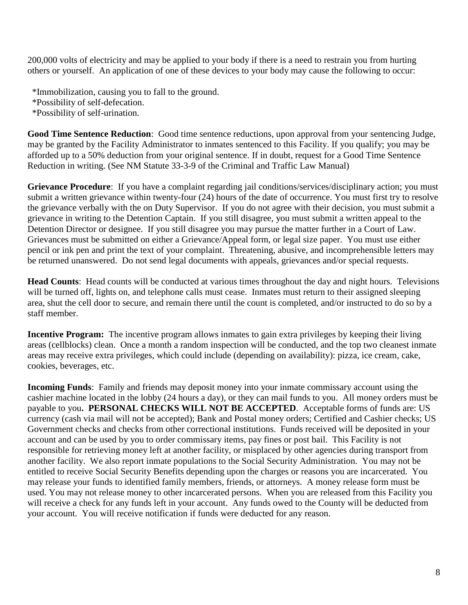200,000 volts of electricity and may be applied to your body if there is a need to restrain you from hurting others or yourself. An application of one of these devices to your body may cause the following to occur:

\*Immobilization, causing you to fall to the ground.

\*Possibility of self-defecation.

\*Possibility of self-urination.

**Good Time Sentence Reduction**: Good time sentence reductions, upon approval from your sentencing Judge, may be granted by the Facility Administrator to inmates sentenced to this Facility. If you qualify; you may be afforded up to a 50% deduction from your original sentence. If in doubt, request for a Good Time Sentence Reduction in writing. (See NM Statute 33-3-9 of the Criminal and Traffic Law Manual)

**Grievance Procedure**: If you have a complaint regarding jail conditions/services/disciplinary action; you must submit a written grievance within twenty-four (24) hours of the date of occurrence. You must first try to resolve the grievance verbally with the on Duty Supervisor. If you do not agree with their decision, you must submit a grievance in writing to the Detention Captain. If you still disagree, you must submit a written appeal to the Detention Director or designee. If you still disagree you may pursue the matter further in a Court of Law. Grievances must be submitted on either a Grievance/Appeal form, or legal size paper. You must use either pencil or ink pen and print the text of your complaint. Threatening, abusive, and incomprehensible letters may be returned unanswered. Do not send legal documents with appeals, grievances and/or special requests.

**Head Counts**: Head counts will be conducted at various times throughout the day and night hours. Televisions will be turned off, lights on, and telephone calls must cease. Inmates must return to their assigned sleeping area, shut the cell door to secure, and remain there until the count is completed, and/or instructed to do so by a staff member.

**Incentive Program:** The incentive program allows inmates to gain extra privileges by keeping their living areas (cellblocks) clean. Once a month a random inspection will be conducted, and the top two cleanest inmate areas may receive extra privileges, which could include (depending on availability): pizza, ice cream, cake, cookies, beverages, etc.

**Incoming Funds**: Family and friends may deposit money into your inmate commissary account using the cashier machine located in the lobby (24 hours a day), or they can mail funds to you. All money orders must be payable to you**. PERSONAL CHECKS WILL NOT BE ACCEPTED**. Acceptable forms of funds are: US currency (cash via mail will not be accepted); Bank and Postal money orders; Certified and Cashier checks; US Government checks and checks from other correctional institutions. Funds received will be deposited in your account and can be used by you to order commissary items, pay fines or post bail. This Facility is not responsible for retrieving money left at another facility, or misplaced by other agencies during transport from another facility. We also report inmate populations to the Social Security Administration. You may not be entitled to receive Social Security Benefits depending upon the charges or reasons you are incarcerated. You may release your funds to identified family members, friends, or attorneys. A money release form must be used. You may not release money to other incarcerated persons. When you are released from this Facility you will receive a check for any funds left in your account. Any funds owed to the County will be deducted from your account. You will receive notification if funds were deducted for any reason.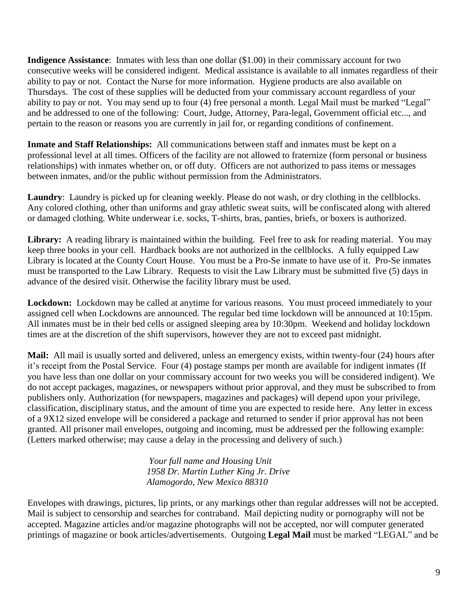**Indigence Assistance**: Inmates with less than one dollar (\$1.00) in their commissary account for two consecutive weeks will be considered indigent. Medical assistance is available to all inmates regardless of their ability to pay or not. Contact the Nurse for more information. Hygiene products are also available on Thursdays. The cost of these supplies will be deducted from your commissary account regardless of your ability to pay or not. You may send up to four (4) free personal a month. Legal Mail must be marked "Legal" and be addressed to one of the following: Court, Judge, Attorney, Para-legal, Government official etc..., and pertain to the reason or reasons you are currently in jail for, or regarding conditions of confinement.

**Inmate and Staff Relationships:** All communications between staff and inmates must be kept on a professional level at all times. Officers of the facility are not allowed to fraternize (form personal or business relationships) with inmates whether on, or off duty. Officers are not authorized to pass items or messages between inmates, and/or the public without permission from the Administrators.

**Laundry**: Laundry is picked up for cleaning weekly. Please do not wash, or dry clothing in the cellblocks. Any colored clothing, other than uniforms and gray athletic sweat suits, will be confiscated along with altered or damaged clothing. White underwear i.e. socks, T-shirts, bras, panties, briefs, or boxers is authorized.

Library: A reading library is maintained within the building. Feel free to ask for reading material. You may keep three books in your cell. Hardback books are not authorized in the cellblocks. A fully equipped Law Library is located at the County Court House. You must be a Pro-Se inmate to have use of it. Pro-Se inmates must be transported to the Law Library. Requests to visit the Law Library must be submitted five (5) days in advance of the desired visit. Otherwise the facility library must be used.

**Lockdown:** Lockdown may be called at anytime for various reasons. You must proceed immediately to your assigned cell when Lockdowns are announced. The regular bed time lockdown will be announced at 10:15pm. All inmates must be in their bed cells or assigned sleeping area by 10:30pm. Weekend and holiday lockdown times are at the discretion of the shift supervisors, however they are not to exceed past midnight.

**Mail:** All mail is usually sorted and delivered, unless an emergency exists, within twenty-four (24) hours after it's receipt from the Postal Service. Four (4) postage stamps per month are available for indigent inmates (If you have less than one dollar on your commissary account for two weeks you will be considered indigent). We do not accept packages, magazines, or newspapers without prior approval, and they must be subscribed to from publishers only. Authorization (for newspapers, magazines and packages) will depend upon your privilege, classification, disciplinary status, and the amount of time you are expected to reside here. Any letter in excess of a 9X12 sized envelope will be considered a package and returned to sender if prior approval has not been granted. All prisoner mail envelopes, outgoing and incoming, must be addressed per the following example: (Letters marked otherwise; may cause a delay in the processing and delivery of such.)

> *Your full name and Housing Unit 1958 Dr. Martin Luther King Jr. Drive Alamogordo, New Mexico 88310*

Envelopes with drawings, pictures, lip prints, or any markings other than regular addresses will not be accepted. Mail is subject to censorship and searches for contraband. Mail depicting nudity or pornography will not be accepted. Magazine articles and/or magazine photographs will not be accepted, nor will computer generated printings of magazine or book articles/advertisements. Outgoing **Legal Mail** must be marked "LEGAL" and be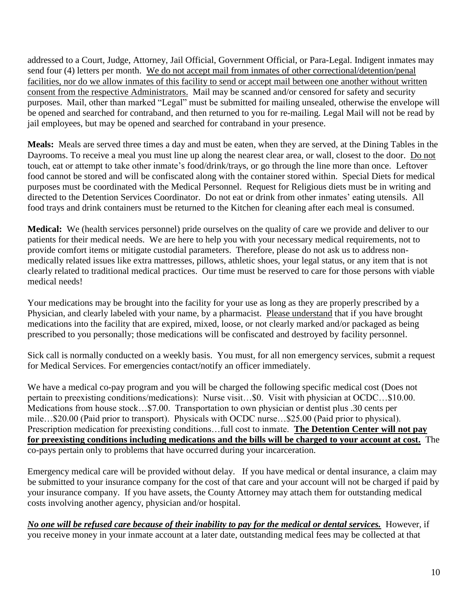addressed to a Court, Judge, Attorney, Jail Official, Government Official, or Para-Legal. Indigent inmates may send four (4) letters per month. We do not accept mail from inmates of other correctional/detention/penal facilities, nor do we allow inmates of this facility to send or accept mail between one another without written consent from the respective Administrators. Mail may be scanned and/or censored for safety and security purposes. Mail, other than marked "Legal" must be submitted for mailing unsealed, otherwise the envelope will be opened and searched for contraband, and then returned to you for re-mailing. Legal Mail will not be read by jail employees, but may be opened and searched for contraband in your presence.

**Meals:** Meals are served three times a day and must be eaten, when they are served, at the Dining Tables in the Dayrooms. To receive a meal you must line up along the nearest clear area, or wall, closest to the door. Do not touch, eat or attempt to take other inmate's food/drink/trays, or go through the line more than once. Leftover food cannot be stored and will be confiscated along with the container stored within. Special Diets for medical purposes must be coordinated with the Medical Personnel. Request for Religious diets must be in writing and directed to the Detention Services Coordinator. Do not eat or drink from other inmates' eating utensils. All food trays and drink containers must be returned to the Kitchen for cleaning after each meal is consumed.

**Medical:** We (health services personnel) pride ourselves on the quality of care we provide and deliver to our patients for their medical needs. We are here to help you with your necessary medical requirements, not to provide comfort items or mitigate custodial parameters. Therefore, please do not ask us to address nonmedically related issues like extra mattresses, pillows, athletic shoes, your legal status, or any item that is not clearly related to traditional medical practices. Our time must be reserved to care for those persons with viable medical needs!

Your medications may be brought into the facility for your use as long as they are properly prescribed by a Physician, and clearly labeled with your name, by a pharmacist. Please understand that if you have brought medications into the facility that are expired, mixed, loose, or not clearly marked and/or packaged as being prescribed to you personally; those medications will be confiscated and destroyed by facility personnel.

Sick call is normally conducted on a weekly basis. You must, for all non emergency services, submit a request for Medical Services. For emergencies contact/notify an officer immediately.

We have a medical co-pay program and you will be charged the following specific medical cost (Does not pertain to preexisting conditions/medications): Nurse visit…\$0. Visit with physician at OCDC…\$10.00. Medications from house stock…\$7.00. Transportation to own physician or dentist plus .30 cents per mile…\$20.00 (Paid prior to transport). Physicals with OCDC nurse…\$25.00 (Paid prior to physical). Prescription medication for preexisting conditions…full cost to inmate. **The Detention Center will not pay for preexisting conditions including medications and the bills will be charged to your account at cost.** The co-pays pertain only to problems that have occurred during your incarceration.

Emergency medical care will be provided without delay. If you have medical or dental insurance, a claim may be submitted to your insurance company for the cost of that care and your account will not be charged if paid by your insurance company. If you have assets, the County Attorney may attach them for outstanding medical costs involving another agency, physician and/or hospital.

*No one will be refused care because of their inability to pay for the medical or dental services.* However, if you receive money in your inmate account at a later date, outstanding medical fees may be collected at that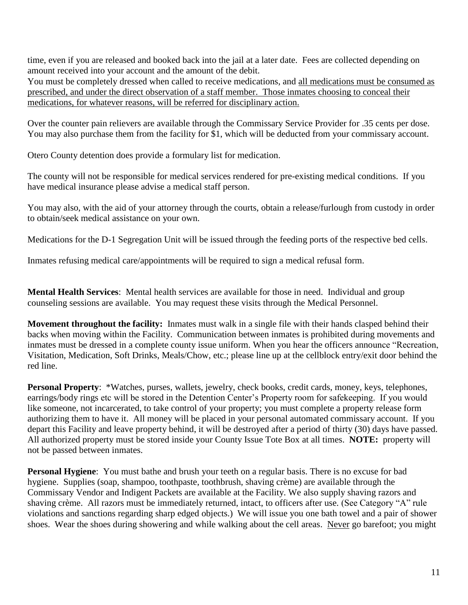time, even if you are released and booked back into the jail at a later date. Fees are collected depending on amount received into your account and the amount of the debit.

You must be completely dressed when called to receive medications, and all medications must be consumed as prescribed, and under the direct observation of a staff member. Those inmates choosing to conceal their medications, for whatever reasons, will be referred for disciplinary action.

Over the counter pain relievers are available through the Commissary Service Provider for .35 cents per dose. You may also purchase them from the facility for \$1, which will be deducted from your commissary account.

Otero County detention does provide a formulary list for medication.

The county will not be responsible for medical services rendered for pre-existing medical conditions. If you have medical insurance please advise a medical staff person.

You may also, with the aid of your attorney through the courts, obtain a release/furlough from custody in order to obtain/seek medical assistance on your own.

Medications for the D-1 Segregation Unit will be issued through the feeding ports of the respective bed cells.

Inmates refusing medical care/appointments will be required to sign a medical refusal form.

**Mental Health Services**: Mental health services are available for those in need. Individual and group counseling sessions are available. You may request these visits through the Medical Personnel.

**Movement throughout the facility:** Inmates must walk in a single file with their hands clasped behind their backs when moving within the Facility. Communication between inmates is prohibited during movements and inmates must be dressed in a complete county issue uniform. When you hear the officers announce "Recreation, Visitation, Medication, Soft Drinks, Meals/Chow, etc.; please line up at the cellblock entry/exit door behind the red line.

**Personal Property**: \*Watches, purses, wallets, jewelry, check books, credit cards, money, keys, telephones, earrings/body rings etc will be stored in the Detention Center's Property room for safekeeping. If you would like someone, not incarcerated, to take control of your property; you must complete a property release form authorizing them to have it. All money will be placed in your personal automated commissary account. If you depart this Facility and leave property behind, it will be destroyed after a period of thirty (30) days have passed. All authorized property must be stored inside your County Issue Tote Box at all times. **NOTE:** property will not be passed between inmates.

**Personal Hygiene**: You must bathe and brush your teeth on a regular basis. There is no excuse for bad hygiene. Supplies (soap, shampoo, toothpaste, toothbrush, shaving crème) are available through the Commissary Vendor and Indigent Packets are available at the Facility. We also supply shaving razors and shaving crème. All razors must be immediately returned, intact, to officers after use. (See Category "A" rule violations and sanctions regarding sharp edged objects.) We will issue you one bath towel and a pair of shower shoes. Wear the shoes during showering and while walking about the cell areas. Never go barefoot; you might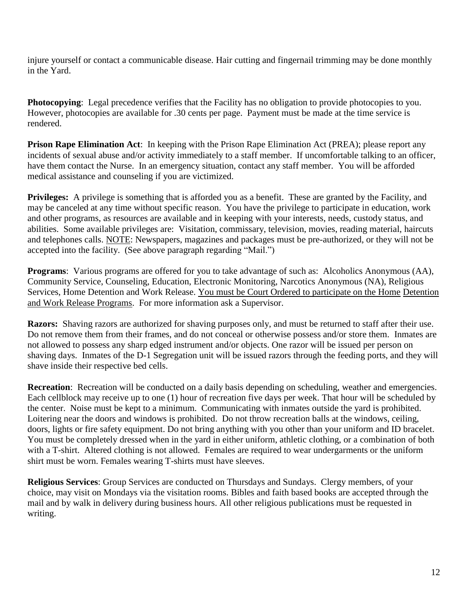injure yourself or contact a communicable disease. Hair cutting and fingernail trimming may be done monthly in the Yard.

**Photocopying**: Legal precedence verifies that the Facility has no obligation to provide photocopies to you. However, photocopies are available for .30 cents per page. Payment must be made at the time service is rendered.

**Prison Rape Elimination Act**: In keeping with the Prison Rape Elimination Act (PREA); please report any incidents of sexual abuse and/or activity immediately to a staff member. If uncomfortable talking to an officer, have them contact the Nurse. In an emergency situation, contact any staff member. You will be afforded medical assistance and counseling if you are victimized.

**Privileges:** A privilege is something that is afforded you as a benefit. These are granted by the Facility, and may be canceled at any time without specific reason. You have the privilege to participate in education, work and other programs, as resources are available and in keeping with your interests, needs, custody status, and abilities. Some available privileges are: Visitation, commissary, television, movies, reading material, haircuts and telephones calls. NOTE: Newspapers, magazines and packages must be pre-authorized, or they will not be accepted into the facility. (See above paragraph regarding "Mail.")

**Programs**: Various programs are offered for you to take advantage of such as: Alcoholics Anonymous (AA), Community Service, Counseling, Education, Electronic Monitoring, Narcotics Anonymous (NA), Religious Services, Home Detention and Work Release. You must be Court Ordered to participate on the Home Detention and Work Release Programs. For more information ask a Supervisor.

**Razors:** Shaving razors are authorized for shaving purposes only, and must be returned to staff after their use. Do not remove them from their frames, and do not conceal or otherwise possess and/or store them. Inmates are not allowed to possess any sharp edged instrument and/or objects. One razor will be issued per person on shaving days. Inmates of the D-1 Segregation unit will be issued razors through the feeding ports, and they will shave inside their respective bed cells.

**Recreation**: Recreation will be conducted on a daily basis depending on scheduling, weather and emergencies. Each cellblock may receive up to one (1) hour of recreation five days per week. That hour will be scheduled by the center. Noise must be kept to a minimum. Communicating with inmates outside the yard is prohibited. Loitering near the doors and windows is prohibited. Do not throw recreation balls at the windows, ceiling, doors, lights or fire safety equipment. Do not bring anything with you other than your uniform and ID bracelet. You must be completely dressed when in the yard in either uniform, athletic clothing, or a combination of both with a T-shirt. Altered clothing is not allowed. Females are required to wear undergarments or the uniform shirt must be worn. Females wearing T-shirts must have sleeves.

**Religious Services**: Group Services are conducted on Thursdays and Sundays. Clergy members, of your choice, may visit on Mondays via the visitation rooms. Bibles and faith based books are accepted through the mail and by walk in delivery during business hours. All other religious publications must be requested in writing.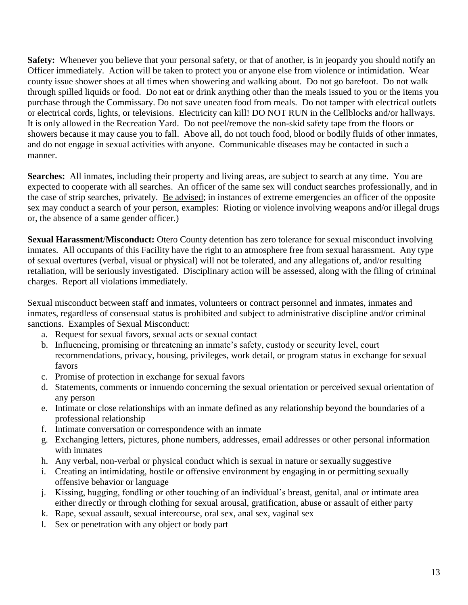**Safety:** Whenever you believe that your personal safety, or that of another, is in jeopardy you should notify an Officer immediately. Action will be taken to protect you or anyone else from violence or intimidation. Wear county issue shower shoes at all times when showering and walking about. Do not go barefoot. Do not walk through spilled liquids or food. Do not eat or drink anything other than the meals issued to you or the items you purchase through the Commissary. Do not save uneaten food from meals. Do not tamper with electrical outlets or electrical cords, lights, or televisions. Electricity can kill! DO NOT RUN in the Cellblocks and/or hallways. It is only allowed in the Recreation Yard. Do not peel/remove the non-skid safety tape from the floors or showers because it may cause you to fall. Above all, do not touch food, blood or bodily fluids of other inmates, and do not engage in sexual activities with anyone. Communicable diseases may be contacted in such a manner.

**Searches:** All inmates, including their property and living areas, are subject to search at any time. You are expected to cooperate with all searches. An officer of the same sex will conduct searches professionally, and in the case of strip searches, privately. Be advised; in instances of extreme emergencies an officer of the opposite sex may conduct a search of your person, examples: Rioting or violence involving weapons and/or illegal drugs or, the absence of a same gender officer.)

**Sexual Harassment**/**Misconduct:** Otero County detention has zero tolerance for sexual misconduct involving inmates. All occupants of this Facility have the right to an atmosphere free from sexual harassment. Any type of sexual overtures (verbal, visual or physical) will not be tolerated, and any allegations of, and/or resulting retaliation, will be seriously investigated. Disciplinary action will be assessed, along with the filing of criminal charges. Report all violations immediately.

Sexual misconduct between staff and inmates, volunteers or contract personnel and inmates, inmates and inmates, regardless of consensual status is prohibited and subject to administrative discipline and/or criminal sanctions. Examples of Sexual Misconduct:

- a. Request for sexual favors, sexual acts or sexual contact
- b. Influencing, promising or threatening an inmate's safety, custody or security level, court recommendations, privacy, housing, privileges, work detail, or program status in exchange for sexual favors
- c. Promise of protection in exchange for sexual favors
- d. Statements, comments or innuendo concerning the sexual orientation or perceived sexual orientation of any person
- e. Intimate or close relationships with an inmate defined as any relationship beyond the boundaries of a professional relationship
- f. Intimate conversation or correspondence with an inmate
- g. Exchanging letters, pictures, phone numbers, addresses, email addresses or other personal information with inmates
- h. Any verbal, non-verbal or physical conduct which is sexual in nature or sexually suggestive
- i. Creating an intimidating, hostile or offensive environment by engaging in or permitting sexually offensive behavior or language
- j. Kissing, hugging, fondling or other touching of an individual's breast, genital, anal or intimate area either directly or through clothing for sexual arousal, gratification, abuse or assault of either party
- k. Rape, sexual assault, sexual intercourse, oral sex, anal sex, vaginal sex
- l. Sex or penetration with any object or body part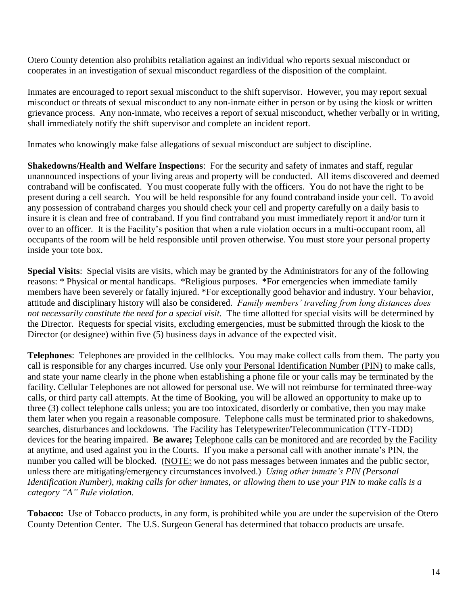Otero County detention also prohibits retaliation against an individual who reports sexual misconduct or cooperates in an investigation of sexual misconduct regardless of the disposition of the complaint.

Inmates are encouraged to report sexual misconduct to the shift supervisor. However, you may report sexual misconduct or threats of sexual misconduct to any non-inmate either in person or by using the kiosk or written grievance process. Any non-inmate, who receives a report of sexual misconduct, whether verbally or in writing, shall immediately notify the shift supervisor and complete an incident report.

Inmates who knowingly make false allegations of sexual misconduct are subject to discipline.

**Shakedowns/Health and Welfare Inspections**: For the security and safety of inmates and staff, regular unannounced inspections of your living areas and property will be conducted. All items discovered and deemed contraband will be confiscated. You must cooperate fully with the officers. You do not have the right to be present during a cell search. You will be held responsible for any found contraband inside your cell. To avoid any possession of contraband charges you should check your cell and property carefully on a daily basis to insure it is clean and free of contraband. If you find contraband you must immediately report it and/or turn it over to an officer. It is the Facility's position that when a rule violation occurs in a multi-occupant room, all occupants of the room will be held responsible until proven otherwise. You must store your personal property inside your tote box.

**Special Visits**: Special visits are visits, which may be granted by the Administrators for any of the following reasons: \* Physical or mental handicaps. \*Religious purposes. \*For emergencies when immediate family members have been severely or fatally injured. \*For exceptionally good behavior and industry. Your behavior, attitude and disciplinary history will also be considered. *Family members' traveling from long distances does not necessarily constitute the need for a special visit.* The time allotted for special visits will be determined by the Director. Requests for special visits, excluding emergencies, must be submitted through the kiosk to the Director (or designee) within five (5) business days in advance of the expected visit.

**Telephones**: Telephones are provided in the cellblocks. You may make collect calls from them. The party you call is responsible for any charges incurred. Use only your Personal Identification Number (PIN) to make calls, and state your name clearly in the phone when establishing a phone file or your calls may be terminated by the facility. Cellular Telephones are not allowed for personal use. We will not reimburse for terminated three-way calls, or third party call attempts. At the time of Booking, you will be allowed an opportunity to make up to three (3) collect telephone calls unless; you are too intoxicated, disorderly or combative, then you may make them later when you regain a reasonable composure. Telephone calls must be terminated prior to shakedowns, searches, disturbances and lockdowns. The Facility has Teletypewriter/Telecommunication (TTY-TDD) devices for the hearing impaired. **Be aware;** Telephone calls can be monitored and are recorded by the Facility at anytime, and used against you in the Courts. If you make a personal call with another inmate's PIN, the number you called will be blocked. (NOTE: we do not pass messages between inmates and the public sector, unless there are mitigating/emergency circumstances involved.) *Using other inmate's PIN (Personal Identification Number), making calls for other inmates, or allowing them to use your PIN to make calls is a category "A" Rule violation.*

**Tobacco:** Use of Tobacco products, in any form, is prohibited while you are under the supervision of the Otero County Detention Center. The U.S. Surgeon General has determined that tobacco products are unsafe.